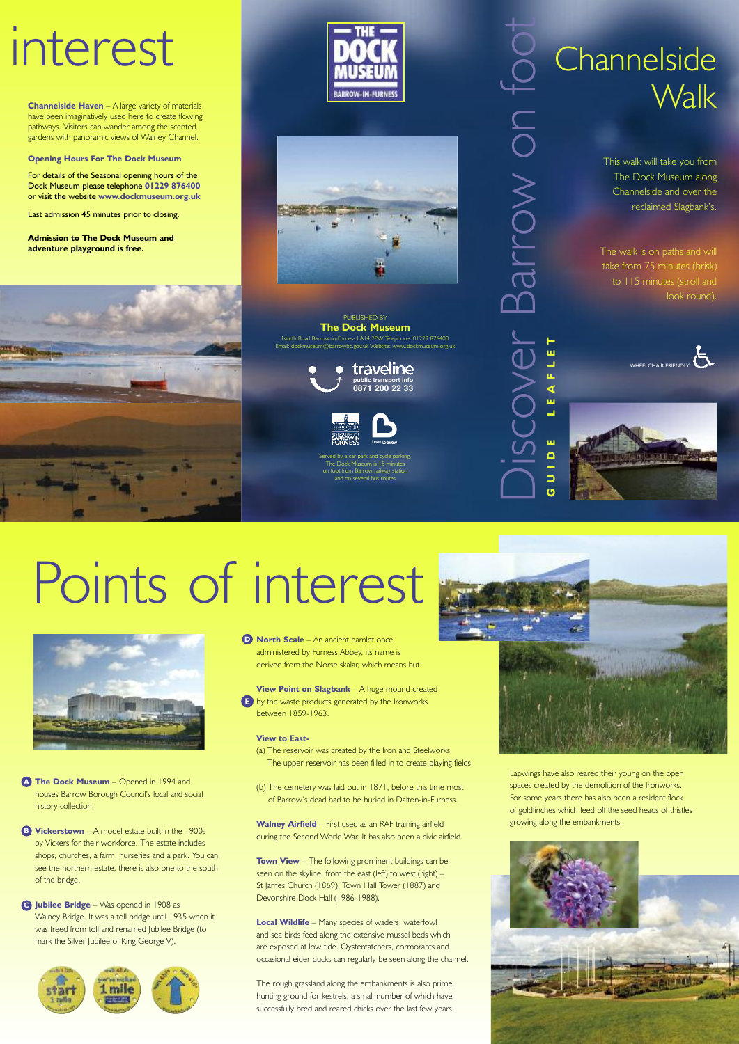This walk will take you from The Dock Museum along Channelside and over the reclaimed Slagbank's.

The walk is on paths and will take from 75 minutes (brisk) to 115 minutes (stroll and look round).



Dis

 $\bigcup$ 

o

 $\gt$ 

o

 $\gtrless$ 

o

 $\mathbf{\subseteq}$ 

 $\overline{O}$ 

o

 $\overline{\phantom{a}}$ 



**FLET**

 $\bigcirc$ 

 $\overline{\phantom{0}}$ 

 $\Delta$ 

 $\varpi$ 

 $\overline{\phantom{a}}$  $\overline{\phantom{a}}$ 

#### PUBLISHED BY **The Dock Museum** North Road Barrow-in-Furness LA14 2PW Telephone: 01229 876400 Email: dockmuseum@barrowbc.gov.uk Website: www.dockmuseum.org.uk

**Channelside Haven** – A large variety of materials have been imaginatively used here to create flowing pathways. Visitors can wander among the scented gardens with panoramic views of Walney Channel.

**Opening Hours For The Dock Museum**

For details of the Seasonal opening hours of the Dock Museum please telephone **01229 876400** or visit the website **www.dockmuseum.org.uk**

Last admission 45 minutes prior to closing.

**Admission to The Dock Museum and adventure playground is free.**







## interest



Served by a car park and cycle parking The Dock Museum is 15 minutes and on several bus route

**Channelside Walk** 



houses Barrow Borough Council's local and social history collection.

**Vickerstown** – A model estate built in the 1900s **B** by Vickers for their workforce. The estate includes shops, churches, a farm, nurseries and a park. You can see the northern estate, there is also one to the south of the bridge.

**Town View** – The following prominent buildings can be seen on the skyline, from the east (left) to west (right) -St James Church (1869), Town Hall Tower (1887) and Devonshire Dock Hall (1986-1988).

**The Dock Museum** – Opened in 1994 and **A**

**Jubilee Bridge** – Was opened in 1908 as **C** Walney Bridge. It was a toll bridge until 1935 when it was freed from toll and renamed Jubilee Bridge (to mark the Silver Jubilee of King George V).



# Points of interest



Lapwings have also reared their young on the open spaces created by the demolition of the Ironworks. For some years there has also been a resident flock of goldfinches which feed off the seed heads of thistles growing along the embankments.

**North Scale** – An ancient hamlet once **D** administered by Furness Abbey, its name is derived from the Norse skalar, which means hut.

**View Point on Slagbank** – A huge mound created by the waste products generated by the Ironworks **E**between 1859-1963.

#### **View to East-**

(a) The reservoir was created by the Iron and Steelworks. The upper reservoir has been filled in to create playing fields.

(b) The cemetery was laid out in 1871, before this time most



of Barrow's dead had to be buried in Dalton-in-Furness.

**Walney Airfield** – First used as an RAF training airfield during the Second World War. It has also been a civic airfield.

**Local Wildlife** – Many species of waders, waterfowl and sea birds feed along the extensive mussel beds which are exposed at low tide. Oystercatchers, cormorants and occasional eider ducks can regularly be seen along the channel.

The rough grassland along the embankments is also prime hunting ground for kestrels, a small number of which have successfully bred and reared chicks over the last few years.